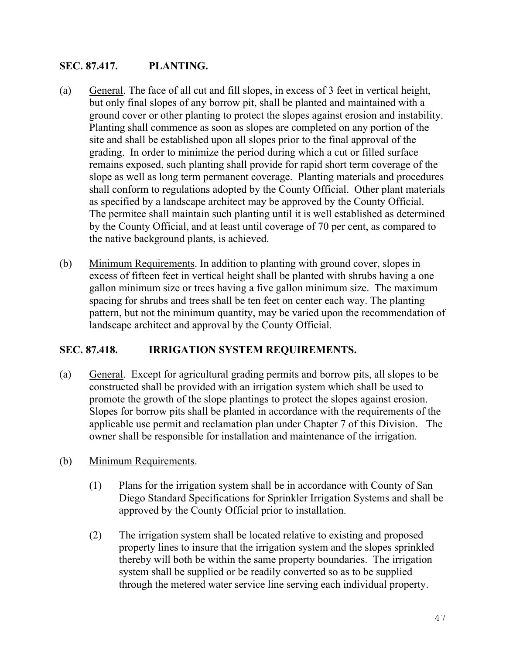## **SEC. 87.417. PLANTING.**

- (a) General. The face of all cut and fill slopes, in excess of 3 feet in vertical height, but only final slopes of any borrow pit, shall be planted and maintained with a ground cover or other planting to protect the slopes against erosion and instability. Planting shall commence as soon as slopes are completed on any portion of the site and shall be established upon all slopes prior to the final approval of the grading. In order to minimize the period during which a cut or filled surface remains exposed, such planting shall provide for rapid short term coverage of the slope as well as long term permanent coverage. Planting materials and procedures shall conform to regulations adopted by the County Official. Other plant materials as specified by a landscape architect may be approved by the County Official. The permitee shall maintain such planting until it is well established as determined by the County Official, and at least until coverage of 70 per cent, as compared to the native background plants, is achieved.
- (b) Minimum Requirements. In addition to planting with ground cover, slopes in excess of fifteen feet in vertical height shall be planted with shrubs having a one gallon minimum size or trees having a five gallon minimum size. The maximum spacing for shrubs and trees shall be ten feet on center each way. The planting pattern, but not the minimum quantity, may be varied upon the recommendation of landscape architect and approval by the County Official.

## **SEC. 87.418. IRRIGATION SYSTEM REQUIREMENTS.**

- (a) General. Except for agricultural grading permits and borrow pits, all slopes to be constructed shall be provided with an irrigation system which shall be used to promote the growth of the slope plantings to protect the slopes against erosion. Slopes for borrow pits shall be planted in accordance with the requirements of the applicable use permit and reclamation plan under Chapter 7 of this Division. The owner shall be responsible for installation and maintenance of the irrigation.
- (b) Minimum Requirements.
	- (1) Plans for the irrigation system shall be in accordance with County of San Diego Standard Specifications for Sprinkler Irrigation Systems and shall be approved by the County Official prior to installation.
	- (2) The irrigation system shall be located relative to existing and proposed property lines to insure that the irrigation system and the slopes sprinkled thereby will both be within the same property boundaries. The irrigation system shall be supplied or be readily converted so as to be supplied through the metered water service line serving each individual property.